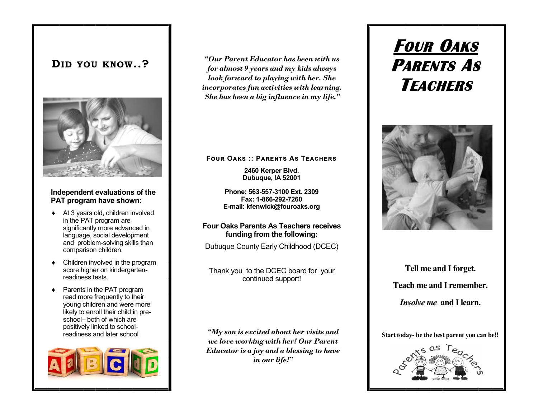## **DID YOU KNOW..?**



#### **Independent evaluations of the PAT program have shown:**

- ◆ At 3 years old, children involved in the PAT program are significantly more advanced in language, social development and problem-solving skills than comparison children.
- Children involved in the program score higher on kindergartenreadiness tests.
- Parents in the PAT program read more frequently to their young children and were more likely to enroll their child in preschool– both of which are positively linked to schoolreadiness and later school



*"Our Parent Educator has been with us for almost 9 years and my kids always look forward to playing with her. She incorporates fun activities with learning. She has been a big influence in my life."*

**Four Oaks :: Parents As Teachers**

**2460 Kerper Blvd. Dubuque, IA 52001**

**Phone: 563-557-3100 Ext. 2309 Fax: 1-866-292-7260 E-mail: kfenwick@fouroaks.org**

#### **Four Oaks Parents As Teachers receives funding from the following:**

Dubuque County Early Childhood (DCEC)

Thank you to the DCEC board for your continued support!

*"My son is excited about her visits and we love working with her! Our Parent Educator is a joy and a blessing to have in our life!"*

# **FOUR OAKS PARENTS AS TEACHERS**



**Tell me and I forget. Teach me and I remember.** *Involve me* **and I learn.**

**Start today- be the best parent you can be!!**